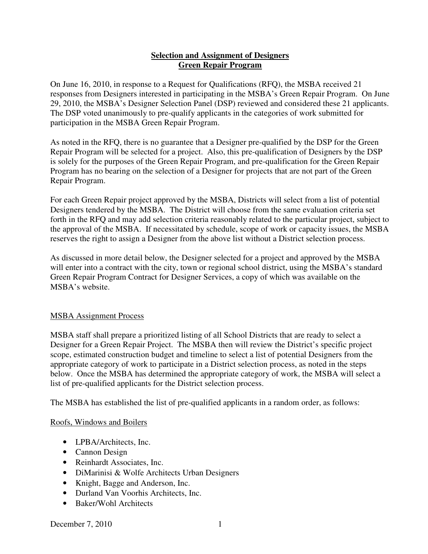## **Selection and Assignment of Designers Green Repair Program**

On June 16, 2010, in response to a Request for Qualifications (RFQ), the MSBA received 21 responses from Designers interested in participating in the MSBA's Green Repair Program. On June 29, 2010, the MSBA's Designer Selection Panel (DSP) reviewed and considered these 21 applicants. The DSP voted unanimously to pre-qualify applicants in the categories of work submitted for participation in the MSBA Green Repair Program.

As noted in the RFQ, there is no guarantee that a Designer pre-qualified by the DSP for the Green Repair Program will be selected for a project. Also, this pre-qualification of Designers by the DSP is solely for the purposes of the Green Repair Program, and pre-qualification for the Green Repair Program has no bearing on the selection of a Designer for projects that are not part of the Green Repair Program.

For each Green Repair project approved by the MSBA, Districts will select from a list of potential Designers tendered by the MSBA. The District will choose from the same evaluation criteria set forth in the RFQ and may add selection criteria reasonably related to the particular project, subject to the approval of the MSBA. If necessitated by schedule, scope of work or capacity issues, the MSBA reserves the right to assign a Designer from the above list without a District selection process.

As discussed in more detail below, the Designer selected for a project and approved by the MSBA will enter into a contract with the city, town or regional school district, using the MSBA's standard Green Repair Program Contract for Designer Services, a copy of which was available on the MSBA's website.

# MSBA Assignment Process

MSBA staff shall prepare a prioritized listing of all School Districts that are ready to select a Designer for a Green Repair Project. The MSBA then will review the District's specific project scope, estimated construction budget and timeline to select a list of potential Designers from the appropriate category of work to participate in a District selection process, as noted in the steps below. Once the MSBA has determined the appropriate category of work, the MSBA will select a list of pre-qualified applicants for the District selection process.

The MSBA has established the list of pre-qualified applicants in a random order, as follows:

### Roofs, Windows and Boilers

- LPBA/Architects, Inc.
- Cannon Design
- Reinhardt Associates, Inc.
- DiMarinisi & Wolfe Architects Urban Designers
- Knight, Bagge and Anderson, Inc.
- Durland Van Voorhis Architects, Inc.
- Baker/Wohl Architects

December 7, 2010 1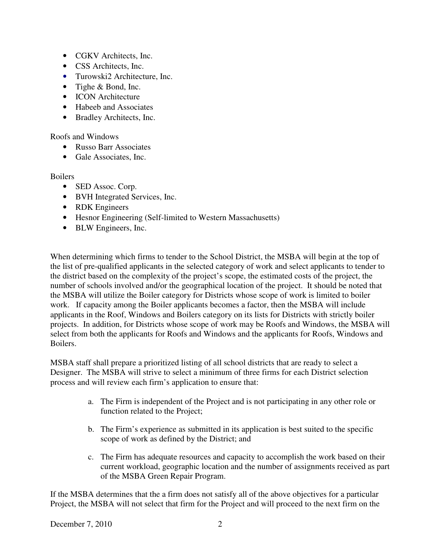- CGKV Architects, Inc.
- CSS Architects, Inc.
- Turowski2 Architecture, Inc.
- Tighe & Bond, Inc.
- ICON Architecture
- Habeeb and Associates
- Bradley Architects, Inc.

Roofs and Windows

- Russo Barr Associates
- Gale Associates, Inc.

### Boilers

- SED Assoc. Corp.
- BVH Integrated Services, Inc.
- RDK Engineers
- Hesnor Engineering (Self-limited to Western Massachusetts)
- BLW Engineers, Inc.

When determining which firms to tender to the School District, the MSBA will begin at the top of the list of pre-qualified applicants in the selected category of work and select applicants to tender to the district based on the complexity of the project's scope, the estimated costs of the project, the number of schools involved and/or the geographical location of the project. It should be noted that the MSBA will utilize the Boiler category for Districts whose scope of work is limited to boiler work. If capacity among the Boiler applicants becomes a factor, then the MSBA will include applicants in the Roof, Windows and Boilers category on its lists for Districts with strictly boiler projects. In addition, for Districts whose scope of work may be Roofs and Windows, the MSBA will select from both the applicants for Roofs and Windows and the applicants for Roofs, Windows and Boilers.

MSBA staff shall prepare a prioritized listing of all school districts that are ready to select a Designer. The MSBA will strive to select a minimum of three firms for each District selection process and will review each firm's application to ensure that:

- a. The Firm is independent of the Project and is not participating in any other role or function related to the Project;
- b. The Firm's experience as submitted in its application is best suited to the specific scope of work as defined by the District; and
- c. The Firm has adequate resources and capacity to accomplish the work based on their current workload, geographic location and the number of assignments received as part of the MSBA Green Repair Program.

If the MSBA determines that the a firm does not satisfy all of the above objectives for a particular Project, the MSBA will not select that firm for the Project and will proceed to the next firm on the

### December 7, 2010 2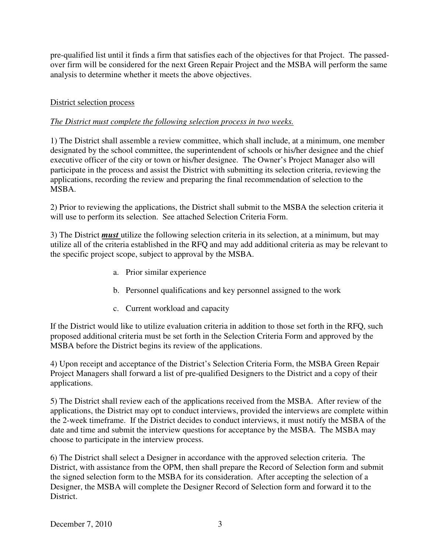pre-qualified list until it finds a firm that satisfies each of the objectives for that Project. The passedover firm will be considered for the next Green Repair Project and the MSBA will perform the same analysis to determine whether it meets the above objectives.

# District selection process

## *The District must complete the following selection process in two weeks.*

1) The District shall assemble a review committee, which shall include, at a minimum, one member designated by the school committee, the superintendent of schools or his/her designee and the chief executive officer of the city or town or his/her designee. The Owner's Project Manager also will participate in the process and assist the District with submitting its selection criteria, reviewing the applications, recording the review and preparing the final recommendation of selection to the MSBA.

2) Prior to reviewing the applications, the District shall submit to the MSBA the selection criteria it will use to perform its selection. See attached Selection Criteria Form.

3) The District *must* utilize the following selection criteria in its selection, at a minimum, but may utilize all of the criteria established in the RFQ and may add additional criteria as may be relevant to the specific project scope, subject to approval by the MSBA.

- a. Prior similar experience
- b. Personnel qualifications and key personnel assigned to the work
- c. Current workload and capacity

If the District would like to utilize evaluation criteria in addition to those set forth in the RFQ, such proposed additional criteria must be set forth in the Selection Criteria Form and approved by the MSBA before the District begins its review of the applications.

4) Upon receipt and acceptance of the District's Selection Criteria Form, the MSBA Green Repair Project Managers shall forward a list of pre-qualified Designers to the District and a copy of their applications.

5) The District shall review each of the applications received from the MSBA. After review of the applications, the District may opt to conduct interviews, provided the interviews are complete within the 2-week timeframe. If the District decides to conduct interviews, it must notify the MSBA of the date and time and submit the interview questions for acceptance by the MSBA. The MSBA may choose to participate in the interview process.

6) The District shall select a Designer in accordance with the approved selection criteria. The District, with assistance from the OPM, then shall prepare the Record of Selection form and submit the signed selection form to the MSBA for its consideration. After accepting the selection of a Designer, the MSBA will complete the Designer Record of Selection form and forward it to the District.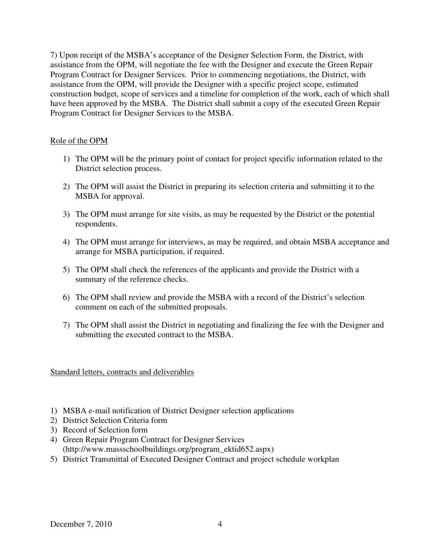7) Upon receipt of the MSBA's acceptance of the Designer Selection Form, the District, with assistance from the OPM, will negotiate the fee with the Designer and execute the Green Repair Program Contract for Designer Services. Prior to commencing negotiations, the District, with assistance from the OPM, will provide the Designer with a specific project scope, estimated construction budget, scope of services and a timeline for completion of the work, each of which shall have been approved by the MSBA. The District shall submit a copy of the executed Green Repair Program Contract for Designer Services to the MSBA.

## Role of the OPM

- 1) The OPM will be the primary point of contact for project specific information related to the District selection process.
- 2) The OPM will assist the District in preparing its selection criteria and submitting it to the MSBA for approval.
- 3) The OPM must arrange for site visits, as may be requested by the District or the potential respondents.
- 4) The OPM must arrange for interviews, as may be required, and obtain MSBA acceptance and arrange for MSBA participation, if required.
- 5) The OPM shall check the references of the applicants and provide the District with a summary of the reference checks.
- 6) The OPM shall review and provide the MSBA with a record of the District's selection comment on each of the submitted proposals.
- 7) The OPM shall assist the District in negotiating and finalizing the fee with the Designer and submitting the executed contract to the MSBA.

Standard letters, contracts and deliverables

- 1) MSBA e-mail notification of District Designer selection applications
- 2) District Selection Criteria form
- 3) Record of Selection form
- 4) Green Repair Program Contract for Designer Services (http://www.massschoolbuildings.org/program\_ektid652.aspx)
- 5) District Transmittal of Executed Designer Contract and project schedule workplan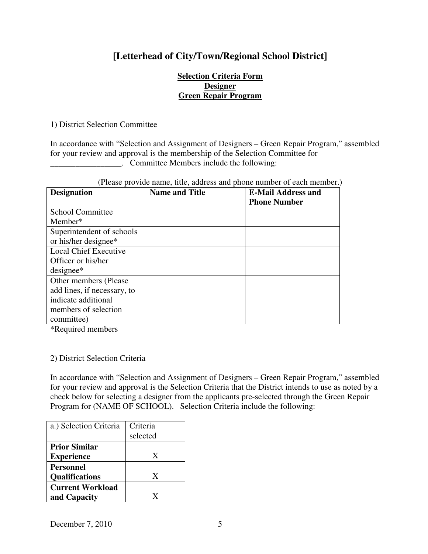# **[Letterhead of City/Town/Regional School District]**

### **Selection Criteria Form Designer Green Repair Program**

1) District Selection Committee

In accordance with "Selection and Assignment of Designers – Green Repair Program," assembled for your review and approval is the membership of the Selection Committee for **EXECUTE:** Committee Members include the following:

| (Please provide name, title, address and phone number of each member.) |  |  |  |
|------------------------------------------------------------------------|--|--|--|
|------------------------------------------------------------------------|--|--|--|

| <b>Designation</b>           | <b>Name and Title</b> | <b>E-Mail Address and</b><br><b>Phone Number</b> |
|------------------------------|-----------------------|--------------------------------------------------|
|                              |                       |                                                  |
| <b>School Committee</b>      |                       |                                                  |
| Member*                      |                       |                                                  |
| Superintendent of schools    |                       |                                                  |
| or his/her designee*         |                       |                                                  |
| <b>Local Chief Executive</b> |                       |                                                  |
| Officer or his/her           |                       |                                                  |
| $designee*$                  |                       |                                                  |
| Other members (Please        |                       |                                                  |
| add lines, if necessary, to  |                       |                                                  |
| indicate additional          |                       |                                                  |
| members of selection         |                       |                                                  |
| committee)                   |                       |                                                  |

\*Required members

### 2) District Selection Criteria

In accordance with "Selection and Assignment of Designers – Green Repair Program," assembled for your review and approval is the Selection Criteria that the District intends to use as noted by a check below for selecting a designer from the applicants pre-selected through the Green Repair Program for (NAME OF SCHOOL). Selection Criteria include the following:

| a.) Selection Criteria                    | Criteria<br>selected |
|-------------------------------------------|----------------------|
| <b>Prior Similar</b><br><b>Experience</b> | X                    |
| <b>Personnel</b><br><b>Qualifications</b> | X                    |
| <b>Current Workload</b><br>and Capacity   | X                    |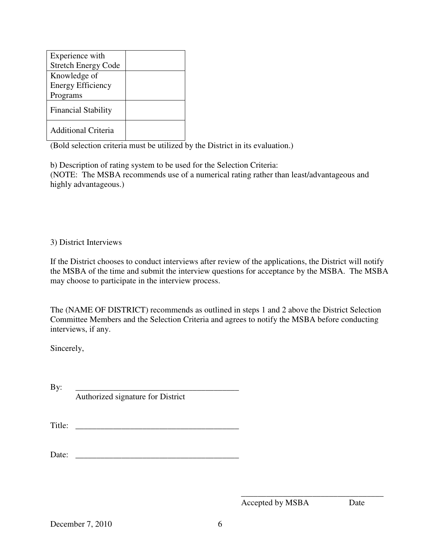| Experience with            |  |
|----------------------------|--|
| <b>Stretch Energy Code</b> |  |
| Knowledge of               |  |
| <b>Energy Efficiency</b>   |  |
| Programs                   |  |
| <b>Financial Stability</b> |  |
| <b>Additional Criteria</b> |  |

(Bold selection criteria must be utilized by the District in its evaluation.)

b) Description of rating system to be used for the Selection Criteria: (NOTE: The MSBA recommends use of a numerical rating rather than least/advantageous and highly advantageous.)

# 3) District Interviews

If the District chooses to conduct interviews after review of the applications, the District will notify the MSBA of the time and submit the interview questions for acceptance by the MSBA. The MSBA may choose to participate in the interview process.

The (NAME OF DISTRICT) recommends as outlined in steps 1 and 2 above the District Selection Committee Members and the Selection Criteria and agrees to notify the MSBA before conducting interviews, if any.

Sincerely,

By: \_\_\_\_\_\_\_\_\_\_\_\_\_\_\_\_\_\_\_\_\_\_\_\_\_\_\_\_\_\_\_\_\_\_\_\_\_\_\_ Authorized signature for District

Title: \_\_\_\_\_\_\_\_\_\_\_\_\_\_\_\_\_\_\_\_\_\_\_\_\_\_\_\_\_\_\_\_\_\_\_\_\_\_\_

Date: \_\_\_\_\_\_\_\_\_\_\_\_\_\_\_\_\_\_\_\_\_\_\_\_\_\_\_\_\_\_\_\_\_\_\_\_\_\_\_

Accepted by MSBA Date

\_\_\_\_\_\_\_\_\_\_\_\_\_\_\_\_\_\_\_\_\_\_\_\_\_\_\_\_\_\_\_\_\_\_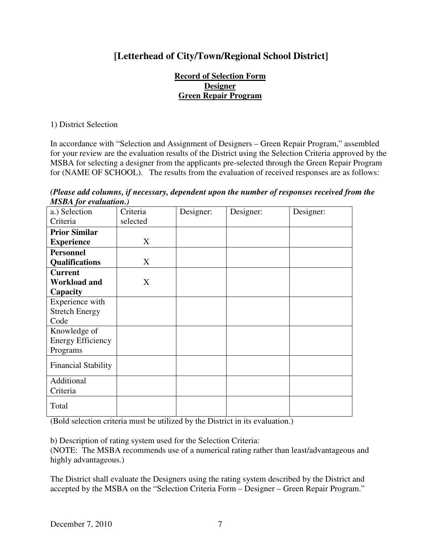# **[Letterhead of City/Town/Regional School District]**

## **Record of Selection Form Designer Green Repair Program**

1) District Selection

In accordance with "Selection and Assignment of Designers – Green Repair Program," assembled for your review are the evaluation results of the District using the Selection Criteria approved by the MSBA for selecting a designer from the applicants pre-selected through the Green Repair Program for (NAME OF SCHOOL). The results from the evaluation of received responses are as follows:

*(Please add columns, if necessary, dependent upon the number of responses received from the MSBA for evaluation.)* 

| 1119111 <sub>1</sub> 01 c/ <i>mmmon1</i> , |          |           |           |           |
|--------------------------------------------|----------|-----------|-----------|-----------|
| a.) Selection                              | Criteria | Designer: | Designer: | Designer: |
| Criteria                                   | selected |           |           |           |
| <b>Prior Similar</b>                       |          |           |           |           |
| <b>Experience</b>                          | X        |           |           |           |
| <b>Personnel</b>                           |          |           |           |           |
| <b>Qualifications</b>                      | X        |           |           |           |
| <b>Current</b>                             |          |           |           |           |
| <b>Workload and</b>                        | X        |           |           |           |
| Capacity                                   |          |           |           |           |
| Experience with                            |          |           |           |           |
| <b>Stretch Energy</b>                      |          |           |           |           |
| Code                                       |          |           |           |           |
| Knowledge of                               |          |           |           |           |
| <b>Energy Efficiency</b>                   |          |           |           |           |
| Programs                                   |          |           |           |           |
| <b>Financial Stability</b>                 |          |           |           |           |
|                                            |          |           |           |           |
| Additional                                 |          |           |           |           |
| Criteria                                   |          |           |           |           |
| Total                                      |          |           |           |           |

(Bold selection criteria must be utilized by the District in its evaluation.)

b) Description of rating system used for the Selection Criteria:

(NOTE: The MSBA recommends use of a numerical rating rather than least/advantageous and highly advantageous.)

The District shall evaluate the Designers using the rating system described by the District and accepted by the MSBA on the "Selection Criteria Form – Designer – Green Repair Program."